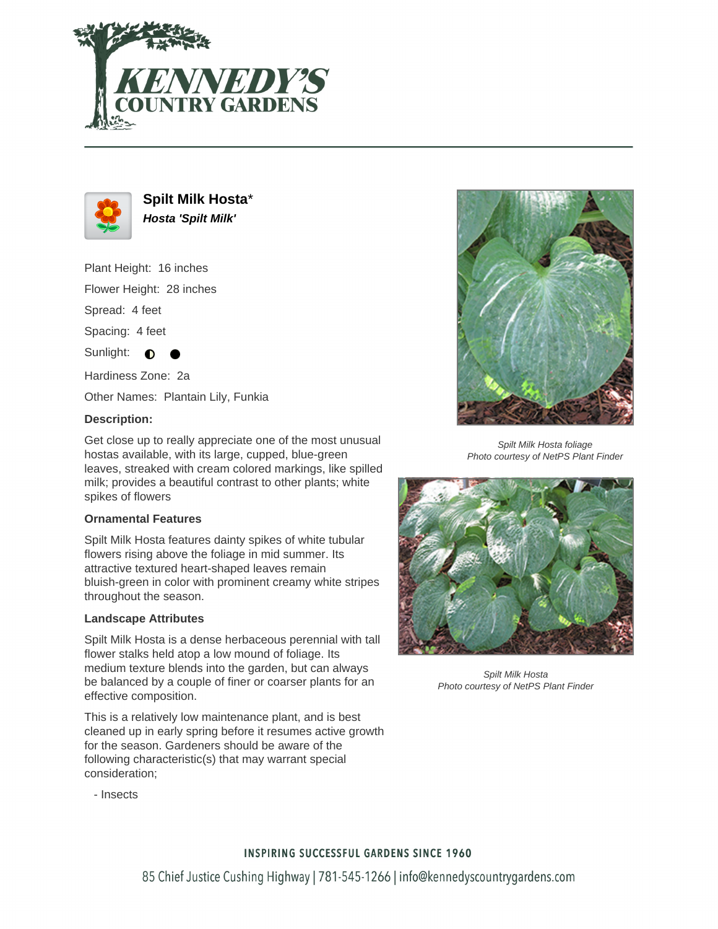



**Spilt Milk Hosta**\* **Hosta 'Spilt Milk'**

Plant Height: 16 inches

Flower Height: 28 inches

Spread: 4 feet

Spacing: 4 feet

Sunlight:  $\bigcirc$ 

Hardiness Zone: 2a

Other Names: Plantain Lily, Funkia

## **Description:**

Get close up to really appreciate one of the most unusual hostas available, with its large, cupped, blue-green leaves, streaked with cream colored markings, like spilled milk; provides a beautiful contrast to other plants; white spikes of flowers

## **Ornamental Features**

Spilt Milk Hosta features dainty spikes of white tubular flowers rising above the foliage in mid summer. Its attractive textured heart-shaped leaves remain bluish-green in color with prominent creamy white stripes throughout the season.

## **Landscape Attributes**

Spilt Milk Hosta is a dense herbaceous perennial with tall flower stalks held atop a low mound of foliage. Its medium texture blends into the garden, but can always be balanced by a couple of finer or coarser plants for an effective composition.

This is a relatively low maintenance plant, and is best cleaned up in early spring before it resumes active growth for the season. Gardeners should be aware of the following characteristic(s) that may warrant special consideration;



Spilt Milk Hosta foliage Photo courtesy of NetPS Plant Finder



Spilt Milk Hosta Photo courtesy of NetPS Plant Finder

- Insects